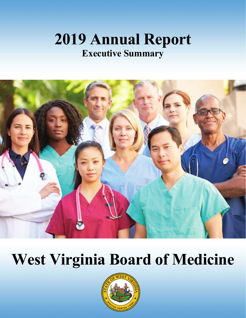## **2019 Annual Report Executive Summary Executive Summary2019 Annual Report**



# **West Virginia Board of Medicine West Virginia Board of Medicine**

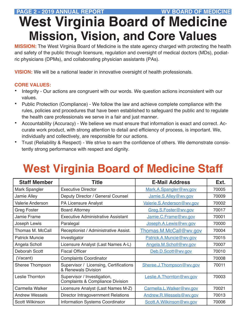### **PAGE 2 - 2019 ANNUAL REPORT WV BOARD OF MEDICINE**

# **West Virginia Board of Medicine Mission, Vision, and Core Values**

**MISSION:** The West Virginia Board of Medicine is the state agency charged with protecting the health and safety of the public through licensure, regulation and oversight of medical doctors (MDs), podiatric physicians (DPMs), and collaborating physician assistants (PAs).

**VISION:** We will be a national leader in innovative oversight of health professionals.

#### **CORE VALUES:**

- Integrity Our actions are congruent with our words. We question actions inconsistent with our values.
- Public Protection (Compliance) We follow the law and achieve complete compliance with the rules, policies and procedures that have been established to safeguard the public and to regulate the health care professionals we serve in a fair and just manner.
- Accountability (Accuracy) We believe we must ensure that information is exact and correct. Accurate work product, with strong attention to detail and efficiency of process, is important. We, individually and collectively, are responsible for our actions.
- Trust (Reliability & Respect) We strive to earn the confidence of others. We demonstrate consistently strong performance with respect and dignity.

# **West Virginia Board of Medicine Staff**

| <b>Staff Member</b>    | <b>Title</b>                                                               | <b>E-Mail Address</b>     | Ext.  |
|------------------------|----------------------------------------------------------------------------|---------------------------|-------|
| Mark Spangler          | <b>Executive Director</b>                                                  | Mark.A.Spangler@wv.gov    | 70005 |
| Jamie Alley            | Deputy Director / General Counsel                                          | Jamie.S.Alley@wv.gov      | 70009 |
| Valerie Anderson       | <b>PA Licensure Analyst</b>                                                | Valerie.S.Anderson@wv.gov | 70002 |
| <b>Greg Foster</b>     | <b>Board Attorney</b>                                                      | Greg.S.Foster@wv.gov      | 70017 |
| <b>Jamie Frame</b>     | <b>Executive Administrative Assistant</b>                                  | Jamie.C.Frame@wv.gov      | 70001 |
| Joseph Lewis           | Paralegal                                                                  | Joseph.A.Lewis@wv.gov     | 70000 |
| Thomas M. McCall       | Receptionist / Administrative Assist.                                      | Thomas.M.McCall@wv.gov    | 70004 |
| <b>Patrick Muncie</b>  | Investigator                                                               | Patrick.A.Muncie@wv.gov   | 70015 |
| Angela Scholl          | Licensure Analyst (Last Names A-L)                                         | Angela.M.Scholl@wv.gov    | 70007 |
| Deborah Scott          | <b>Fiscal Officer</b>                                                      | Deb.D.Scott@wv.gov        |       |
| (Vacant)               | <b>Complaints Coordinator</b>                                              |                           | 70008 |
| Sheree Thompson        | Supervisor / Licensing, Certifications<br>& Renewals Division              | Sheree.J.Thompson@wv.gov  |       |
| Leslie Thornton        | Supervisor / Investigation,<br><b>Complaints &amp; Compliance Division</b> | Leslie.A. Thornton@wv.gov | 70003 |
| Carmella Walker        | Licensure Analyst (Last Names M-Z)                                         | Carmella.L.Walker@wv.gov  | 70021 |
| <b>Andrew Wessels</b>  | <b>Director Intragovernment Relations</b>                                  | Andrew.R.Wessels@wv.qov   | 70013 |
| <b>Scott Wilkinson</b> | <b>Information Systems Coordinator</b>                                     | Scott.A.Wilkinson@wv.gov  | 70006 |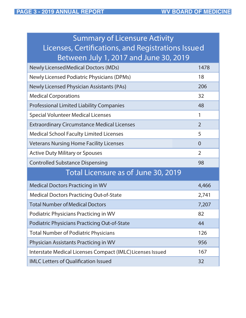| <b>Summary of Licensure Activity</b>                       |                |  |  |  |
|------------------------------------------------------------|----------------|--|--|--|
| Licenses, Certifications, and Registrations Issued         |                |  |  |  |
| Between July 1, 2017 and June 30, 2019                     |                |  |  |  |
| <b>Newly Licensed Medical Doctors (MDs)</b>                | 1478           |  |  |  |
| Newly Licensed Podiatric Physicians (DPMs)                 | 18             |  |  |  |
| <b>Newly Licensed Physician Assistants (PAs)</b>           |                |  |  |  |
| <b>Medical Corporations</b>                                | 32             |  |  |  |
| <b>Professional Limited Liability Companies</b>            | 48             |  |  |  |
| <b>Special Volunteer Medical Licenses</b>                  | 1              |  |  |  |
| <b>Extraordinary Circumstance Medical Licenses</b>         | $\overline{2}$ |  |  |  |
| <b>Medical School Faculty Limited Licenses</b>             | 5              |  |  |  |
| <b>Veterans Nursing Home Facility Licenses</b>             | $\overline{0}$ |  |  |  |
| <b>Active Duty Military or Spouses</b>                     |                |  |  |  |
| <b>Controlled Substance Dispensing</b>                     |                |  |  |  |
| Total Licensure as of June 30, 2019                        |                |  |  |  |
| <b>Medical Doctors Practicing in WV</b>                    | 4,466          |  |  |  |
| <b>Medical Doctors Practicing Out-of-State</b>             | 2,741          |  |  |  |
| <b>Total Number of Medical Doctors</b>                     | 7,207          |  |  |  |
| Podiatric Physicians Practicing in WV                      |                |  |  |  |
| <b>Podiatric Physicians Practicing Out-of-State</b>        |                |  |  |  |
| <b>Total Number of Podiatric Physicians</b>                |                |  |  |  |
| Physician Assistants Practicing in WV                      |                |  |  |  |
| Interstate Medical Licenses Compact (IMLC) Licenses Issued |                |  |  |  |
| <b>IMLC Letters of Qualification Issued</b>                | 32             |  |  |  |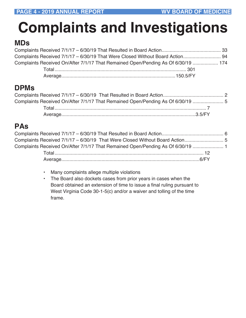# **Complaints and Investigations**

### **MDs**

| Complaints Received On/After 7/1/17 That Remained Open/Pending As Of 6/30/19  174 |  |
|-----------------------------------------------------------------------------------|--|
|                                                                                   |  |
|                                                                                   |  |

### **DPMs**

| Complaints Received On/After 7/1/17 That Remained Open/Pending As Of 6/30/19  5 |  |
|---------------------------------------------------------------------------------|--|
|                                                                                 |  |
|                                                                                 |  |

### **PAs**

| Complaints Received 7/1/17 - 6/30/19 That Were Closed Without Board Action 5    |  |
|---------------------------------------------------------------------------------|--|
| Complaints Received On/After 7/1/17 That Remained Open/Pending As Of 6/30/19  1 |  |
|                                                                                 |  |
|                                                                                 |  |

- Many complaints allege multiple violations
- The Board also dockets cases from prior years in cases when the Board obtained an extension of time to issue a final ruling pursuant to West Virginia Code 30-1-5(c) and/or a waiver and tolling of the time frame.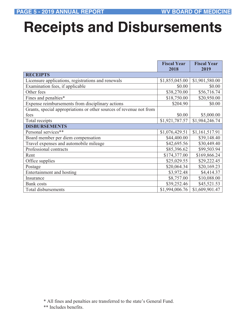# **Receipts and Disbursements**

|                                                                     | <b>Fiscal Year</b><br>2018 | <b>Fiscal Year</b><br>2019 |
|---------------------------------------------------------------------|----------------------------|----------------------------|
| <b>RECEIPTS</b>                                                     |                            |                            |
| Licensure applications, registrations and renewals                  | \$1,855,045.00             | \$1,901,580.00             |
| Examination fees, if applicable                                     | \$0.00                     | \$0.00                     |
| Other fees                                                          | \$38,270.00                | \$56,716.74                |
| Fines and penalties*                                                | \$18,750.00                | \$20,950.00                |
| Expense reimbursements from disciplinary actions                    | \$204.90                   | \$0.00                     |
| Grants, special appropriations or other sources of revenue not from |                            |                            |
| fees                                                                | \$0.00                     | \$5,000.00                 |
| Total receipts                                                      | \$1,921,787.57             | \$1,984,246.74             |
| <b>DISBURSEMENTS</b>                                                |                            |                            |
| Personal services**                                                 | \$1,076,429.51             | \$1,161,517.91             |
| Board member per diem compensation                                  | \$44,400.00                | \$39,148.40                |
| Travel expenses and automobile mileage                              | \$42,695.56                | \$30,449.40                |
| Professional contracts                                              | \$85,396.62                | \$99,503.94                |
| Rent                                                                | \$174,377.00               | \$169,866.24               |
| Office supplies                                                     | \$25,029.55                | \$29,222.45                |
| Postage                                                             | \$20,064.34                | \$20,169.23                |
| Entertainment and hosting                                           | \$3,972.48                 | \$4,414.37                 |
| Insurance                                                           | \$8,757.00                 | \$10,088.00                |
| <b>Bank</b> costs                                                   | \$39,252.46                | \$45,521.53                |
| <b>Total disbursements</b>                                          | \$1,994,006.76             | \$1,609,901.47             |

<sup>\*</sup> All fines and penalties are transferred to the state's General Fund.

<sup>\*\*</sup> Includes benefits.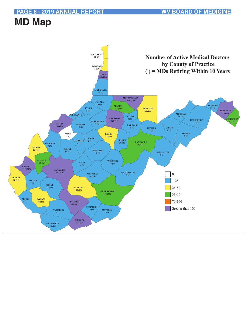#### **PAGE 6 - 2019 ANNUAL REPORT WV BOARD OF MEDICINE**

## **MD Map**

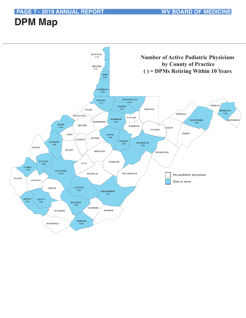**PAGE 7 - 2019 ANNUAL REPORT WV BOARD OF MEDICINE** 

## **DPM Map**